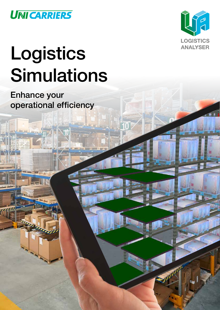



# Logistics Simulations

Enhance your operational efficiency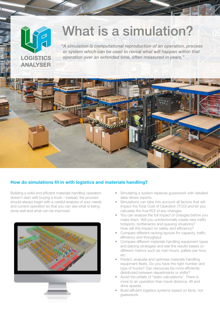## What is a simulation?

*"A simulation is computational reproduction of an operation, process or system which can be used to reveal what will happen within that operation over an extended time, often measured in years."*



### How do simulations fit in with logistics and materials handling?

Building a solid and efficient materials handling operation doesn't start with buying a truck – instead, the process should always begin with a careful analysis of your needs and current operation so that you can see what is being done well and what can be improved.

**LOGISTICS ANALYSER** 



- Simulating a system replaces guesswork with detailed data-driven reports.
- Simulations can take into account all factors that will impact the Total Cost of Operation (TCO) and let you calculate the true ROI of any changes.
- You can analyse the full impact of changes before you make them. Will you unintentionally create new traffic hotspots, bottlenecks and queuing situations? How will this impact on safety and efficiency?
- Compare different racking layouts for capacity, traffic efficiency and throughput.
- Compare different materials handling equipment types and placing strategies and see the results based on different metrics such as man-hours, pallets per hour, etc.
- Predict, evaluate and optimise materials handling equipment fleets. Do you have the right number and type of trucks? Can resources be more efficiently distributed between departments or shifts?
- Avoid the pitfalls of "static calculations". There is more to an operation than travel distance, lift and drive speeds.
- Build efficient logistics systems based on facts, not guesswork.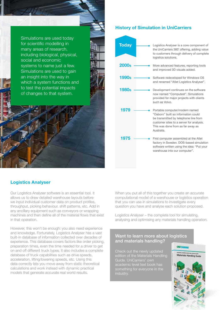Simulations are used today for scientific modelling in many areas of research, including biological, physical, social and economic systems to name just a few. Simulations are used to gain an insight into the way in which a system functions and to test the potential impacts of changes to that system.

#### Logistics Analyser

Our Logistics Analyser software is an essential tool. It allows us to draw detailed warehouse layouts before we input individual customer data on product profiles, throughput, picking behaviour, shift patterns, etc. Add in any ancillary equipment such as conveyors or wrapping machines and then define all of the material flows that exist in that operation.

However, this won't be enough: you also need experience and knowledge. Fortunately, Logistics Analyser has a vast built-in database of information collected over decades of experience. This database covers factors like order picking, preparation times, even the time needed for a driver to get on and off different truck types. It also includes a complete database of truck capabilities such as drive speeds, acceleration, lifting/lowering speeds, etc. Using this data correctly lets you move away from static theoretical calculations and work instead with dynamic practical models that generate accurate real world results.

When you put all of this together you create an accurate computational model of a warehouse or logistics operation that you can use in simulations to investigate every question you have and analyse each solution proposed.

Logistics Analyser – the complete tool for simulating, analysing and optimising any materials handling operation.

#### Want to learn more about logistics and materials handling?

Check out the newly updated edition of the Materials Handling Guide. UniCarriers' own academic level text book has something for everyone in the industry.



First computer assembled at the Atlet factory in Sweden. DOS-based simulation software written using the idea: "Put your warehouse into our computer".



#### History of Simulation in UniCarriers